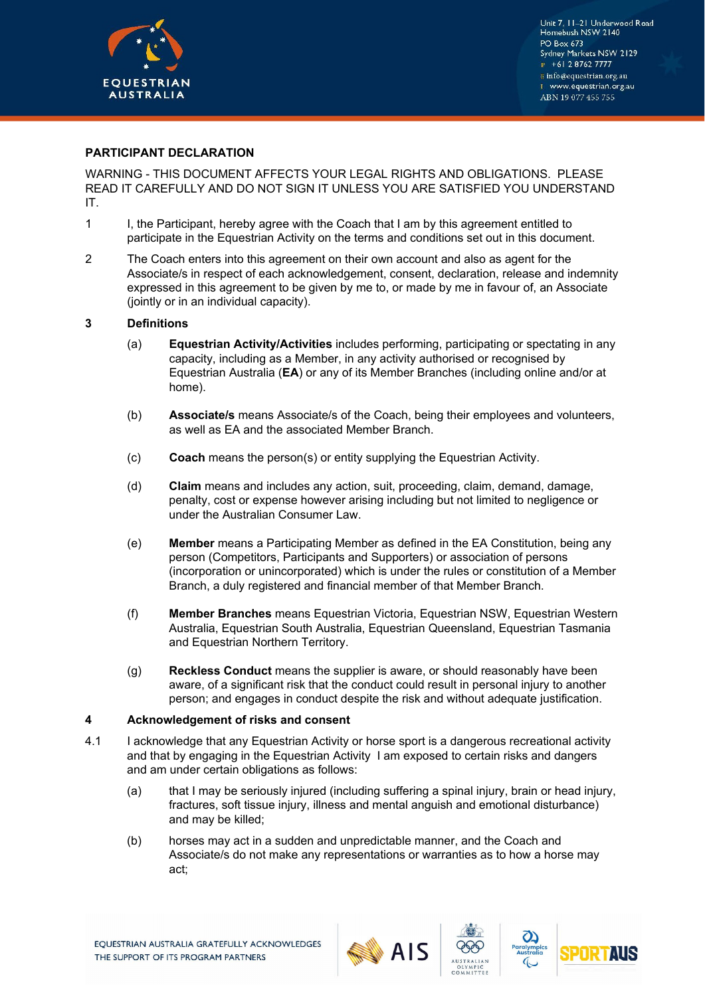

# **PARTICIPANT DECLARATION**

WARNING - THIS DOCUMENT AFFECTS YOUR LEGAL RIGHTS AND OBLIGATIONS. PLEASE READ IT CAREFULLY AND DO NOT SIGN IT UNLESS YOU ARE SATISFIED YOU UNDERSTAND IT.

- 1 I, the Participant, hereby agree with the Coach that I am by this agreement entitled to participate in the Equestrian Activity on the terms and conditions set out in this document.
- 2 The Coach enters into this agreement on their own account and also as agent for the Associate/s in respect of each acknowledgement, consent, declaration, release and indemnity expressed in this agreement to be given by me to, or made by me in favour of, an Associate (jointly or in an individual capacity).

## **3 Definitions**

- (a) **Equestrian Activity/Activities** includes performing, participating or spectating in any capacity, including as a Member, in any activity authorised or recognised by Equestrian Australia (**EA**) or any of its Member Branches (including online and/or at home).
- (b) **Associate/s** means Associate/s of the Coach, being their employees and volunteers, as well as EA and the associated Member Branch.
- (c) **Coach** means the person(s) or entity supplying the Equestrian Activity.
- (d) **Claim** means and includes any action, suit, proceeding, claim, demand, damage, penalty, cost or expense however arising including but not limited to negligence or under the Australian Consumer Law.
- (e) **Member** means a Participating Member as defined in the EA Constitution, being any person (Competitors, Participants and Supporters) or association of persons (incorporation or unincorporated) which is under the rules or constitution of a Member Branch, a duly registered and financial member of that Member Branch.
- (f) **Member Branches** means Equestrian Victoria, Equestrian NSW, Equestrian Western Australia, Equestrian South Australia, Equestrian Queensland, Equestrian Tasmania and Equestrian Northern Territory.
- (g) **Reckless Conduct** means the supplier is aware, or should reasonably have been aware, of a significant risk that the conduct could result in personal injury to another person; and engages in conduct despite the risk and without adequate justification.

### **4 Acknowledgement of risks and consent**

- 4.1 I acknowledge that any Equestrian Activity or horse sport is a dangerous recreational activity and that by engaging in the Equestrian Activity I am exposed to certain risks and dangers and am under certain obligations as follows:
	- (a) that I may be seriously injured (including suffering a spinal injury, brain or head injury, fractures, soft tissue injury, illness and mental anguish and emotional disturbance) and may be killed;
	- (b) horses may act in a sudden and unpredictable manner, and the Coach and Associate/s do not make any representations or warranties as to how a horse may act;





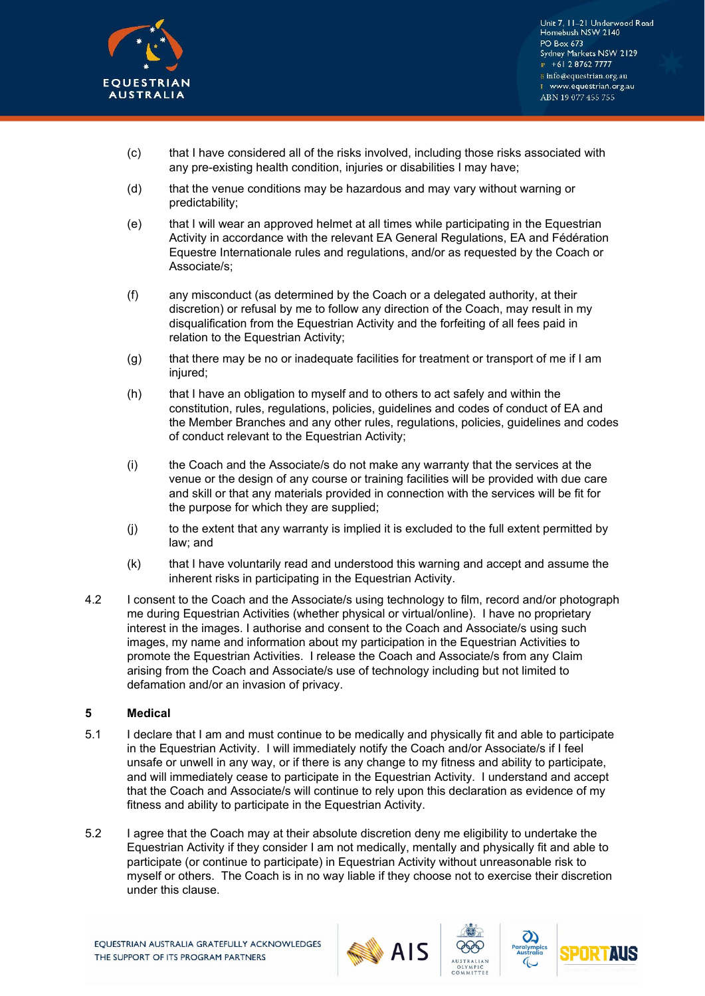

Unit 7, 11-21 Underwood Road Homebush NSW 2140 PO Box 673 Sydney Markets NSW 2129  $P + 61287627777$ E info@equestrian.org.au www.equestrian.org.au ABN 19 077 455 755

- (c) that I have considered all of the risks involved, including those risks associated with any pre-existing health condition, injuries or disabilities I may have;
- (d) that the venue conditions may be hazardous and may vary without warning or predictability;
- (e) that I will wear an approved helmet at all times while participating in the Equestrian Activity in accordance with the relevant EA General Regulations, EA and Fédération Equestre Internationale rules and regulations, and/or as requested by the Coach or Associate/s;
- (f) any misconduct (as determined by the Coach or a delegated authority, at their discretion) or refusal by me to follow any direction of the Coach, may result in my disqualification from the Equestrian Activity and the forfeiting of all fees paid in relation to the Equestrian Activity;
- (g) that there may be no or inadequate facilities for treatment or transport of me if I am injured;
- (h) that I have an obligation to myself and to others to act safely and within the constitution, rules, regulations, policies, guidelines and codes of conduct of EA and the Member Branches and any other rules, regulations, policies, guidelines and codes of conduct relevant to the Equestrian Activity;
- (i) the Coach and the Associate/s do not make any warranty that the services at the venue or the design of any course or training facilities will be provided with due care and skill or that any materials provided in connection with the services will be fit for the purpose for which they are supplied;
- (j) to the extent that any warranty is implied it is excluded to the full extent permitted by law; and
- (k) that I have voluntarily read and understood this warning and accept and assume the inherent risks in participating in the Equestrian Activity.
- 4.2 I consent to the Coach and the Associate/s using technology to film, record and/or photograph me during Equestrian Activities (whether physical or virtual/online). I have no proprietary interest in the images. I authorise and consent to the Coach and Associate/s using such images, my name and information about my participation in the Equestrian Activities to promote the Equestrian Activities. I release the Coach and Associate/s from any Claim arising from the Coach and Associate/s use of technology including but not limited to defamation and/or an invasion of privacy.

## **5 Medical**

- 5.1 I declare that I am and must continue to be medically and physically fit and able to participate in the Equestrian Activity. I will immediately notify the Coach and/or Associate/s if I feel unsafe or unwell in any way, or if there is any change to my fitness and ability to participate, and will immediately cease to participate in the Equestrian Activity. I understand and accept that the Coach and Associate/s will continue to rely upon this declaration as evidence of my fitness and ability to participate in the Equestrian Activity.
- 5.2 I agree that the Coach may at their absolute discretion deny me eligibility to undertake the Equestrian Activity if they consider I am not medically, mentally and physically fit and able to participate (or continue to participate) in Equestrian Activity without unreasonable risk to myself or others. The Coach is in no way liable if they choose not to exercise their discretion under this clause.





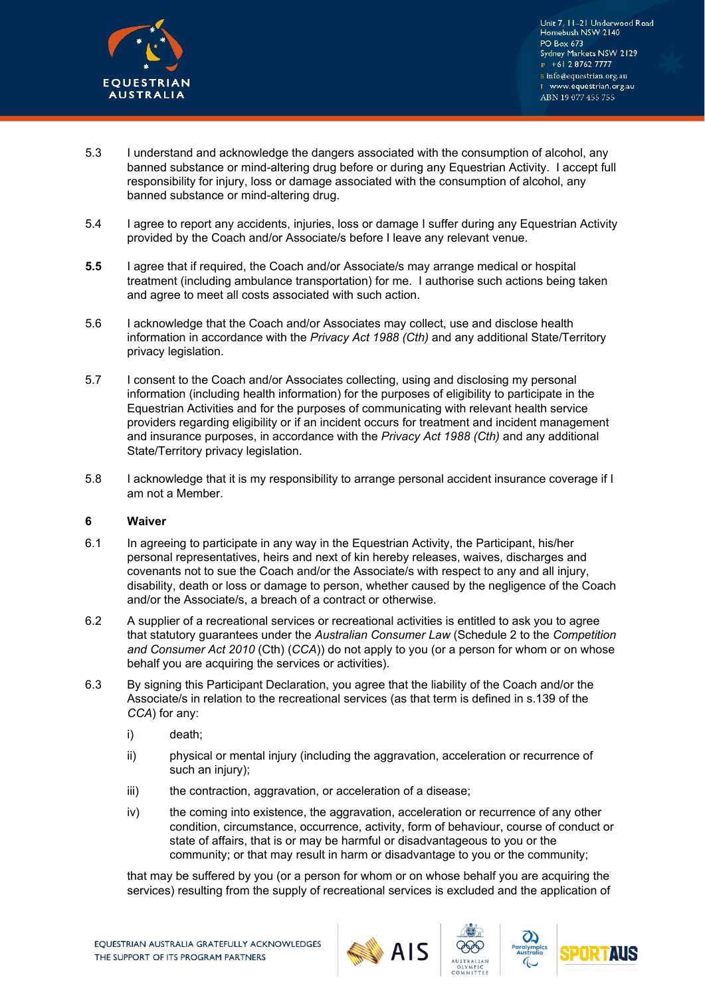

Unit 7, 11-21 Underwood Road Homebush NSW 2140 PO Box 673 Sydney Markets NSW 2129  $P + 61287627777$ E info@equestrian.org.au www.equestrian.org.au ABN 19 077 455 755

- 5.3 I understand and acknowledge the dangers associated with the consumption of alcohol, any banned substance or mind-altering drug before or during any Equestrian Activity. I accept full responsibility for injury, loss or damage associated with the consumption of alcohol, any banned substance or mind-altering drug.
- 5.4 I agree to report any accidents, injuries, loss or damage I suffer during any Equestrian Activity provided by the Coach and/or Associate/s before I leave any relevant venue.
- **5.5** I agree that if required, the Coach and/or Associate/s may arrange medical or hospital treatment (including ambulance transportation) for me. I authorise such actions being taken and agree to meet all costs associated with such action.
- 5.6 I acknowledge that the Coach and/or Associates may collect, use and disclose health information in accordance with the *Privacy Act 1988 (Cth)* and any additional State/Territory privacy legislation.
- 5.7 I consent to the Coach and/or Associates collecting, using and disclosing my personal information (including health information) for the purposes of eligibility to participate in the Equestrian Activities and for the purposes of communicating with relevant health service providers regarding eligibility or if an incident occurs for treatment and incident management and insurance purposes, in accordance with the *Privacy Act 1988 (Cth)* and any additional State/Territory privacy legislation.
- 5.8 I acknowledge that it is my responsibility to arrange personal accident insurance coverage if I am not a Member.

## **6 Waiver**

- 6.1 In agreeing to participate in any way in the Equestrian Activity, the Participant, his/her personal representatives, heirs and next of kin hereby releases, waives, discharges and covenants not to sue the Coach and/or the Associate/s with respect to any and all injury, disability, death or loss or damage to person, whether caused by the negligence of the Coach and/or the Associate/s, a breach of a contract or otherwise.
- 6.2 A supplier of a recreational services or recreational activities is entitled to ask you to agree that statutory guarantees under the *Australian Consumer Law* (Schedule 2 to the *Competition and Consumer Act 2010* (Cth) (*CCA*)) do not apply to you (or a person for whom or on whose behalf you are acquiring the services or activities).
- 6.3 By signing this Participant Declaration, you agree that the liability of the Coach and/or the Associate/s in relation to the recreational services (as that term is defined in s.139 of the *CCA*) for any:
	- i) death;
	- ii) physical or mental injury (including the aggravation, acceleration or recurrence of such an injury);
	- iii) the contraction, aggravation, or acceleration of a disease;
	- iv) the coming into existence, the aggravation, acceleration or recurrence of any other condition, circumstance, occurrence, activity, form of behaviour, course of conduct or state of affairs, that is or may be harmful or disadvantageous to you or the community; or that may result in harm or disadvantage to you or the community;

that may be suffered by you (or a person for whom or on whose behalf you are acquiring the services) resulting from the supply of recreational services is excluded and the application of







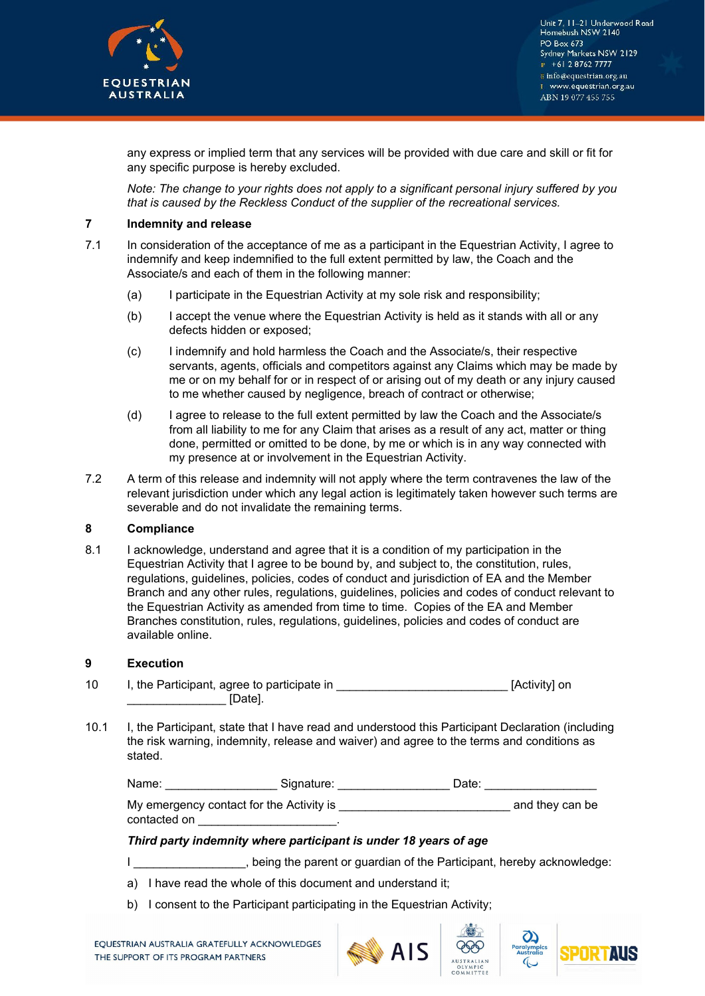

any express or implied term that any services will be provided with due care and skill or fit for any specific purpose is hereby excluded.

*Note: The change to your rights does not apply to a significant personal injury suffered by you that is caused by the Reckless Conduct of the supplier of the recreational services.* 

### **7 Indemnity and release**

- 7.1 In consideration of the acceptance of me as a participant in the Equestrian Activity, I agree to indemnify and keep indemnified to the full extent permitted by law, the Coach and the Associate/s and each of them in the following manner:
	- (a) I participate in the Equestrian Activity at my sole risk and responsibility;
	- (b) I accept the venue where the Equestrian Activity is held as it stands with all or any defects hidden or exposed;
	- (c) I indemnify and hold harmless the Coach and the Associate/s, their respective servants, agents, officials and competitors against any Claims which may be made by me or on my behalf for or in respect of or arising out of my death or any injury caused to me whether caused by negligence, breach of contract or otherwise;
	- (d) I agree to release to the full extent permitted by law the Coach and the Associate/s from all liability to me for any Claim that arises as a result of any act, matter or thing done, permitted or omitted to be done, by me or which is in any way connected with my presence at or involvement in the Equestrian Activity.
- 7.2 A term of this release and indemnity will not apply where the term contravenes the law of the relevant jurisdiction under which any legal action is legitimately taken however such terms are severable and do not invalidate the remaining terms.

### **8 Compliance**

8.1 I acknowledge, understand and agree that it is a condition of my participation in the Equestrian Activity that I agree to be bound by, and subject to, the constitution, rules, regulations, guidelines, policies, codes of conduct and jurisdiction of EA and the Member Branch and any other rules, regulations, guidelines, policies and codes of conduct relevant to the Equestrian Activity as amended from time to time. Copies of the EA and Member Branches constitution, rules, regulations, guidelines, policies and codes of conduct are available online.

### **9 Execution**

| 10 | I, the Participant, agree to participate in | [Activity] on |
|----|---------------------------------------------|---------------|
|    | IDate1.                                     |               |

10.1 I, the Participant, state that I have read and understood this Participant Declaration (including the risk warning, indemnity, release and waiver) and agree to the terms and conditions as stated.

| Name:        | Signature:                               | Date: |                 |
|--------------|------------------------------------------|-------|-----------------|
|              | My emergency contact for the Activity is |       | and they can be |
| contacted on |                                          |       |                 |

### *Third party indemnity where participant is under 18 years of age*

- I allows the parent or quardian of the Participant, hereby acknowledge:
- a) I have read the whole of this document and understand it;
- b) I consent to the Participant participating in the Equestrian Activity;